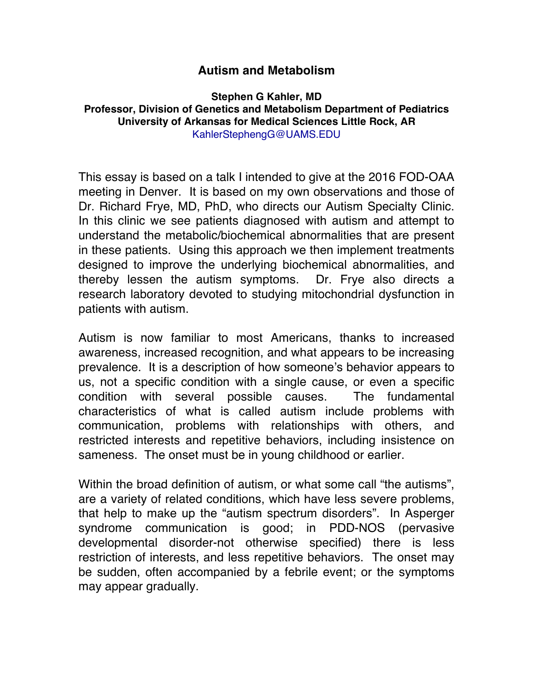## **Autism and Metabolism**

**Stephen G Kahler, MD Professor, Division of Genetics and Metabolism Department of Pediatrics University of Arkansas for Medical Sciences Little Rock, AR** KahlerStephengG@UAMS.EDU

This essay is based on a talk I intended to give at the 2016 FOD-OAA meeting in Denver. It is based on my own observations and those of Dr. Richard Frye, MD, PhD, who directs our Autism Specialty Clinic. In this clinic we see patients diagnosed with autism and attempt to understand the metabolic/biochemical abnormalities that are present in these patients. Using this approach we then implement treatments designed to improve the underlying biochemical abnormalities, and thereby lessen the autism symptoms. Dr. Frye also directs a research laboratory devoted to studying mitochondrial dysfunction in patients with autism.

Autism is now familiar to most Americans, thanks to increased awareness, increased recognition, and what appears to be increasing prevalence. It is a description of how someone's behavior appears to us, not a specific condition with a single cause, or even a specific condition with several possible causes. The fundamental characteristics of what is called autism include problems with communication, problems with relationships with others, and restricted interests and repetitive behaviors, including insistence on sameness. The onset must be in young childhood or earlier.

Within the broad definition of autism, or what some call "the autisms", are a variety of related conditions, which have less severe problems, that help to make up the "autism spectrum disorders". In Asperger syndrome communication is good; in PDD-NOS (pervasive developmental disorder-not otherwise specified) there is less restriction of interests, and less repetitive behaviors. The onset may be sudden, often accompanied by a febrile event; or the symptoms may appear gradually.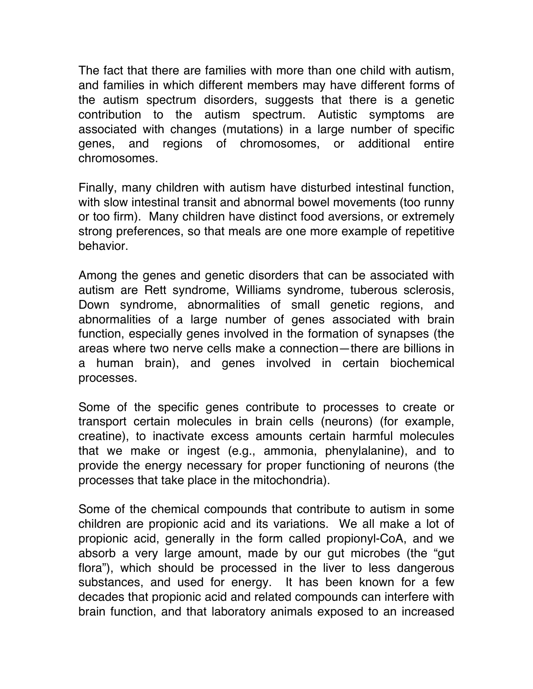The fact that there are families with more than one child with autism, and families in which different members may have different forms of the autism spectrum disorders, suggests that there is a genetic contribution to the autism spectrum. Autistic symptoms are associated with changes (mutations) in a large number of specific genes, and regions of chromosomes, or additional entire chromosomes.

Finally, many children with autism have disturbed intestinal function, with slow intestinal transit and abnormal bowel movements (too runny or too firm). Many children have distinct food aversions, or extremely strong preferences, so that meals are one more example of repetitive behavior.

Among the genes and genetic disorders that can be associated with autism are Rett syndrome, Williams syndrome, tuberous sclerosis, Down syndrome, abnormalities of small genetic regions, and abnormalities of a large number of genes associated with brain function, especially genes involved in the formation of synapses (the areas where two nerve cells make a connection—there are billions in a human brain), and genes involved in certain biochemical processes.

Some of the specific genes contribute to processes to create or transport certain molecules in brain cells (neurons) (for example, creatine), to inactivate excess amounts certain harmful molecules that we make or ingest (e.g., ammonia, phenylalanine), and to provide the energy necessary for proper functioning of neurons (the processes that take place in the mitochondria).

Some of the chemical compounds that contribute to autism in some children are propionic acid and its variations. We all make a lot of propionic acid, generally in the form called propionyl-CoA, and we absorb a very large amount, made by our gut microbes (the "gut flora"), which should be processed in the liver to less dangerous substances, and used for energy. It has been known for a few decades that propionic acid and related compounds can interfere with brain function, and that laboratory animals exposed to an increased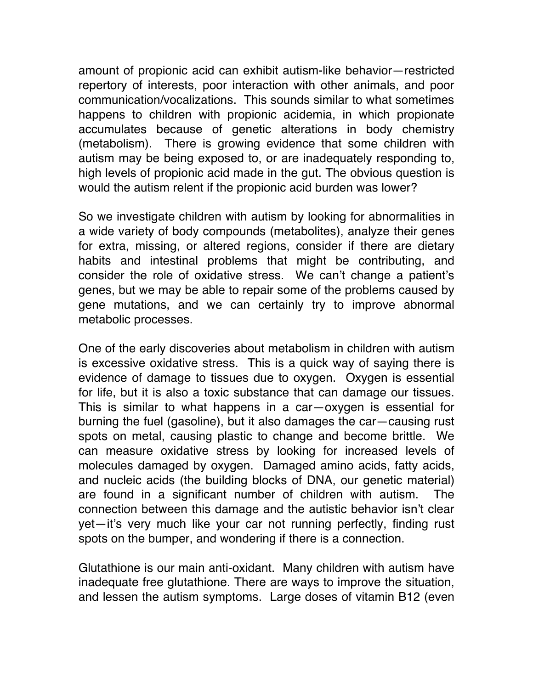amount of propionic acid can exhibit autism-like behavior—restricted repertory of interests, poor interaction with other animals, and poor communication/vocalizations. This sounds similar to what sometimes happens to children with propionic acidemia, in which propionate accumulates because of genetic alterations in body chemistry (metabolism). There is growing evidence that some children with autism may be being exposed to, or are inadequately responding to, high levels of propionic acid made in the gut. The obvious question is would the autism relent if the propionic acid burden was lower?

So we investigate children with autism by looking for abnormalities in a wide variety of body compounds (metabolites), analyze their genes for extra, missing, or altered regions, consider if there are dietary habits and intestinal problems that might be contributing, and consider the role of oxidative stress. We can't change a patient's genes, but we may be able to repair some of the problems caused by gene mutations, and we can certainly try to improve abnormal metabolic processes.

One of the early discoveries about metabolism in children with autism is excessive oxidative stress. This is a quick way of saying there is evidence of damage to tissues due to oxygen. Oxygen is essential for life, but it is also a toxic substance that can damage our tissues. This is similar to what happens in a car—oxygen is essential for burning the fuel (gasoline), but it also damages the car—causing rust spots on metal, causing plastic to change and become brittle. We can measure oxidative stress by looking for increased levels of molecules damaged by oxygen. Damaged amino acids, fatty acids, and nucleic acids (the building blocks of DNA, our genetic material) are found in a significant number of children with autism. The connection between this damage and the autistic behavior isn't clear yet—it's very much like your car not running perfectly, finding rust spots on the bumper, and wondering if there is a connection.

Glutathione is our main anti-oxidant. Many children with autism have inadequate free glutathione. There are ways to improve the situation, and lessen the autism symptoms. Large doses of vitamin B12 (even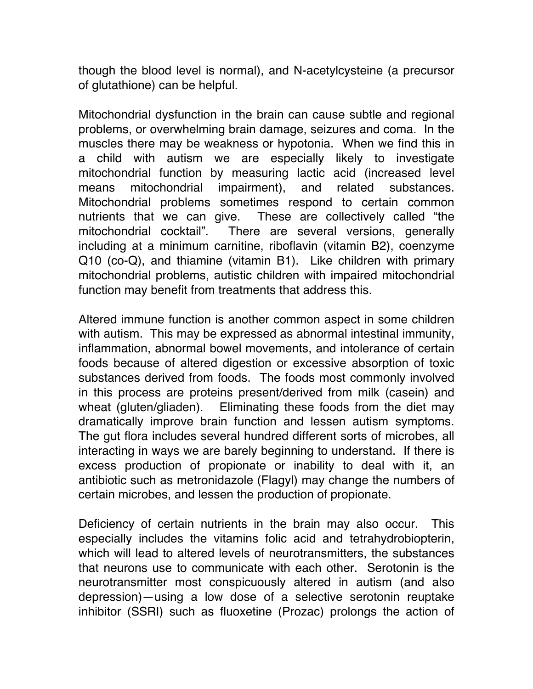though the blood level is normal), and N-acetylcysteine (a precursor of glutathione) can be helpful.

Mitochondrial dysfunction in the brain can cause subtle and regional problems, or overwhelming brain damage, seizures and coma. In the muscles there may be weakness or hypotonia. When we find this in a child with autism we are especially likely to investigate mitochondrial function by measuring lactic acid (increased level means mitochondrial impairment), and related substances. Mitochondrial problems sometimes respond to certain common nutrients that we can give. These are collectively called "the mitochondrial cocktail". There are several versions, generally including at a minimum carnitine, riboflavin (vitamin B2), coenzyme Q10 (co-Q), and thiamine (vitamin B1). Like children with primary mitochondrial problems, autistic children with impaired mitochondrial function may benefit from treatments that address this.

Altered immune function is another common aspect in some children with autism. This may be expressed as abnormal intestinal immunity, inflammation, abnormal bowel movements, and intolerance of certain foods because of altered digestion or excessive absorption of toxic substances derived from foods. The foods most commonly involved in this process are proteins present/derived from milk (casein) and wheat (gluten/gliaden). Eliminating these foods from the diet may dramatically improve brain function and lessen autism symptoms. The gut flora includes several hundred different sorts of microbes, all interacting in ways we are barely beginning to understand. If there is excess production of propionate or inability to deal with it, an antibiotic such as metronidazole (Flagyl) may change the numbers of certain microbes, and lessen the production of propionate.

Deficiency of certain nutrients in the brain may also occur. This especially includes the vitamins folic acid and tetrahydrobiopterin, which will lead to altered levels of neurotransmitters, the substances that neurons use to communicate with each other. Serotonin is the neurotransmitter most conspicuously altered in autism (and also depression)—using a low dose of a selective serotonin reuptake inhibitor (SSRI) such as fluoxetine (Prozac) prolongs the action of